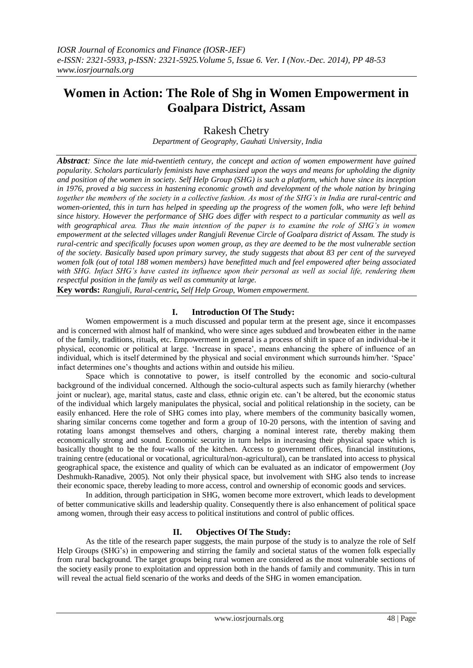# **Women in Action: The Role of Shg in Women Empowerment in Goalpara District, Assam**

Rakesh Chetry

*Department of Geography, Gauhati University, India*

*Abstract: Since the late mid-twentieth century, the concept and action of women empowerment have gained popularity. Scholars particularly feminists have emphasized upon the ways and means for upholding the dignity and position of the women in society. Self Help Group (SHG) is such a platform, which have since its inception in 1976, proved a big success in hastening economic growth and development of the whole nation by bringing together the members of the society in a collective fashion. As most of the SHG's in India are rural-centric and women-oriented, this in turn has helped in speeding up the progress of the women folk, who were left behind since history. However the performance of SHG does differ with respect to a particular community as well as with geographical area. Thus the main intention of the paper is to examine the role of SHG's in women empowerment at the selected villages under Rangjuli Revenue Circle of Goalpara district of Assam. The study is rural-centric and specifically focuses upon women group, as they are deemed to be the most vulnerable section of the society. Basically based upon primary survey, the study suggests that about 83 per cent of the surveyed women folk (out of total 188 women members) have benefitted much and feel empowered after being associated with SHG. Infact SHG's have casted its influence upon their personal as well as social life, rendering them respectful position in the family as well as community at large.*

**Key words:** *Rangjuli, Rural-centric, Self Help Group, Women empowerment.*

# **I. Introduction Of The Study:**

Women empowerment is a much discussed and popular term at the present age, since it encompasses and is concerned with almost half of mankind, who were since ages subdued and browbeaten either in the name of the family, traditions, rituals, etc. Empowerment in general is a process of shift in space of an individual-be it physical, economic or political at large. "Increase in space", means enhancing the sphere of influence of an individual, which is itself determined by the physical and social environment which surrounds him/her. "Space" infact determines one"s thoughts and actions within and outside his milieu.

Space which is connotative to power, is itself controlled by the economic and socio-cultural background of the individual concerned. Although the socio-cultural aspects such as family hierarchy (whether joint or nuclear), age, marital status, caste and class, ethnic origin etc. can"t be altered, but the economic status of the individual which largely manipulates the physical, social and political relationship in the society, can be easily enhanced. Here the role of SHG comes into play, where members of the community basically women, sharing similar concerns come together and form a group of 10-20 persons, with the intention of saving and rotating loans amongst themselves and others, charging a nominal interest rate, thereby making them economically strong and sound. Economic security in turn helps in increasing their physical space which is basically thought to be the four-walls of the kitchen. Access to government offices, financial institutions, training centre (educational or vocational, agricultural/non-agricultural), can be translated into access to physical geographical space, the existence and quality of which can be evaluated as an indicator of empowerment (Joy Deshmukh-Ranadive, 2005). Not only their physical space, but involvement with SHG also tends to increase their economic space, thereby leading to more access, control and ownership of economic goods and services.

In addition, through participation in SHG, women become more extrovert, which leads to development of better communicative skills and leadership quality. Consequently there is also enhancement of political space among women, through their easy access to political institutions and control of public offices.

## **II. Objectives Of The Study:**

As the title of the research paper suggests, the main purpose of the study is to analyze the role of Self Help Groups (SHG's) in empowering and stirring the family and societal status of the women folk especially from rural background. The target groups being rural women are considered as the most vulnerable sections of the society easily prone to exploitation and oppression both in the hands of family and community. This in turn will reveal the actual field scenario of the works and deeds of the SHG in women emancipation.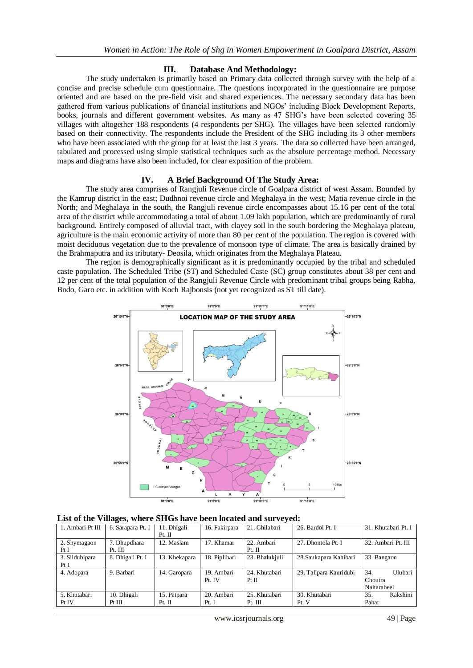### **III. Database And Methodology:**

The study undertaken is primarily based on Primary data collected through survey with the help of a concise and precise schedule cum questionnaire. The questions incorporated in the questionnaire are purpose oriented and are based on the pre-field visit and shared experiences. The necessary secondary data has been gathered from various publications of financial institutions and NGOs" including Block Development Reports, books, journals and different government websites. As many as 47 SHG"s have been selected covering 35 villages with altogether 188 respondents (4 respondents per SHG). The villages have been selected randomly based on their connectivity. The respondents include the President of the SHG including its 3 other members who have been associated with the group for at least the last 3 years. The data so collected have been arranged, tabulated and processed using simple statistical techniques such as the absolute percentage method. Necessary maps and diagrams have also been included, for clear exposition of the problem.

### **IV. A Brief Background Of The Study Area:**

The study area comprises of Rangjuli Revenue circle of Goalpara district of west Assam. Bounded by the Kamrup district in the east; Dudhnoi revenue circle and Meghalaya in the west; Matia revenue circle in the North; and Meghalaya in the south, the Rangjuli revenue circle encompasses about 15.16 per cent of the total area of the district while accommodating a total of about 1.09 lakh population, which are predominantly of rural background. Entirely composed of alluvial tract, with clayey soil in the south bordering the Meghalaya plateau, agriculture is the main economic activity of more than 80 per cent of the population. The region is covered with moist deciduous vegetation due to the prevalence of monsoon type of climate. The area is basically drained by the Brahmaputra and its tributary- Deosila, which originates from the Meghalaya Plateau.

The region is demographically significant as it is predominantly occupied by the tribal and scheduled caste population. The Scheduled Tribe (ST) and Scheduled Caste (SC) group constitutes about 38 per cent and 12 per cent of the total population of the Rangjuli Revenue Circle with predominant tribal groups being Rabha, Bodo, Garo etc. in addition with Koch Rajbonsis (not yet recognized as ST till date).



**List of the Villages, where SHGs have been located and surveyed:**

| 1. Ambari Pt III | 6. Sarapara Pt. I | 11. Dhigali   | 16. Fakirpara | 21. Ghilabari  | 26. Bardol Pt. I       | 31. Khutabari Pt. I   |
|------------------|-------------------|---------------|---------------|----------------|------------------------|-----------------------|
|                  |                   | Pt. II        |               |                |                        |                       |
| 2. Shymagaon     | 7. Dhupdhara      | 12. Maslam    | 17. Khamar    | 22. Ambari     | 27. Dhontola Pt. I     | 32. Ambari Pt. III    |
| Pt I             | Pt. III           |               |               | Pt. II         |                        |                       |
| 3. Sildubipara   | 8. Dhigali Pt. I  | 13. Khekapara | 18. Piplibari | 23. Bhalukjuli | 28. Saukapara Kahibari | 33. Bangaon           |
| Pt 1             |                   |               |               |                |                        |                       |
| 4. Adopara       | 9. Barbari        | 14. Garopara  | 19. Ambari    | 24. Khutabari  | 29. Talipara Kauridubi | 34.<br><b>Ulubari</b> |
|                  |                   |               | Pt. IV        | $Pt$ $H$       |                        | Choutra               |
|                  |                   |               |               |                |                        | Naitarabeel           |
| 5. Khutabari     | 10. Dhigali       | 15. Patpara   | 20. Ambari    | 25. Khutabari  | 30. Khutabari          | 35.<br>Rakshini       |
| Pt IV            | Pt III            | Pt. II        | Pt. I         | Pt. III        | Pt. V                  | Pahar                 |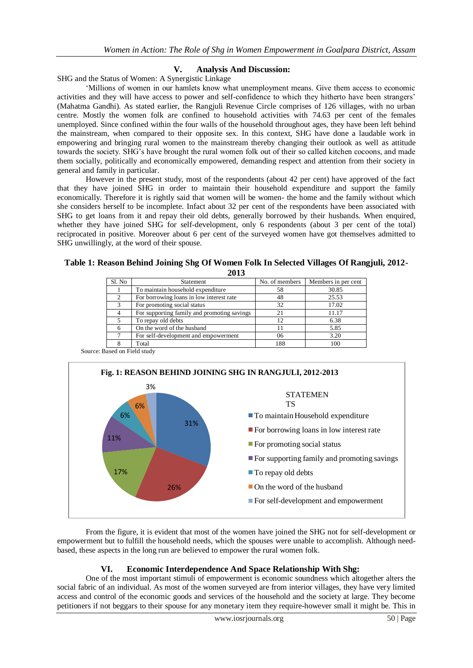## **V. Analysis And Discussion:**

SHG and the Status of Women: A Synergistic Linkage

"Millions of women in our hamlets know what unemployment means. Give them access to economic activities and they will have access to power and self-confidence to which they hitherto have been strangers" (Mahatma Gandhi). As stated earlier, the Rangjuli Revenue Circle comprises of 126 villages, with no urban centre. Mostly the women folk are confined to household activities with 74.63 per cent of the females unemployed. Since confined within the four walls of the household throughout ages, they have been left behind the mainstream, when compared to their opposite sex. In this context, SHG have done a laudable work in empowering and bringing rural women to the mainstream thereby changing their outlook as well as attitude towards the society. SHG"s have brought the rural women folk out of their so called kitchen cocoons, and made them socially, politically and economically empowered, demanding respect and attention from their society in general and family in particular.

However in the present study, most of the respondents (about 42 per cent) have approved of the fact that they have joined SHG in order to maintain their household expenditure and support the family economically. Therefore it is rightly said that women will be women- the home and the family without which she considers herself to be incomplete. Infact about 32 per cent of the respondents have been associated with SHG to get loans from it and repay their old debts, generally borrowed by their husbands. When enquired, whether they have joined SHG for self-development, only 6 respondents (about 3 per cent of the total) reciprocated in positive. Moreover about 6 per cent of the surveyed women have got themselves admitted to SHG unwillingly, at the word of their spouse.

#### **Table 1: Reason Behind Joining Shg Of Women Folk In Selected Villages Of Rangjuli, 2012- 2013**

| ---    |                                             |                |                     |  |  |  |  |
|--------|---------------------------------------------|----------------|---------------------|--|--|--|--|
| Sl. No | Statement                                   | No. of members | Members in per cent |  |  |  |  |
|        | To maintain household expenditure           | 58             | 30.85               |  |  |  |  |
| ∍      | For borrowing loans in low interest rate    | 48             | 25.53               |  |  |  |  |
| 3      | For promoting social status                 | 32             | 17.02               |  |  |  |  |
|        | For supporting family and promoting savings | 21             | 11.17               |  |  |  |  |
|        | To repay old debts                          | 12             | 6.38                |  |  |  |  |
| 6      | On the word of the husband                  | 11             | 5.85                |  |  |  |  |
|        | For self-development and empowerment        | 06             | 3.20                |  |  |  |  |
|        | Total                                       | 188            | 100                 |  |  |  |  |
|        |                                             |                |                     |  |  |  |  |

Source: Based on Field study



From the figure, it is evident that most of the women have joined the SHG not for self-development or empowerment but to fulfill the household needs, which the spouses were unable to accomplish. Although needbased, these aspects in the long run are believed to empower the rural women folk.

# **VI. Economic Interdependence And Space Relationship With Shg:**

One of the most important stimuli of empowerment is economic soundness which altogether alters the social fabric of an individual. As most of the women surveyed are from interior villages, they have very limited access and control of the economic goods and services of the household and the society at large. They become petitioners if not beggars to their spouse for any monetary item they require-however small it might be. This in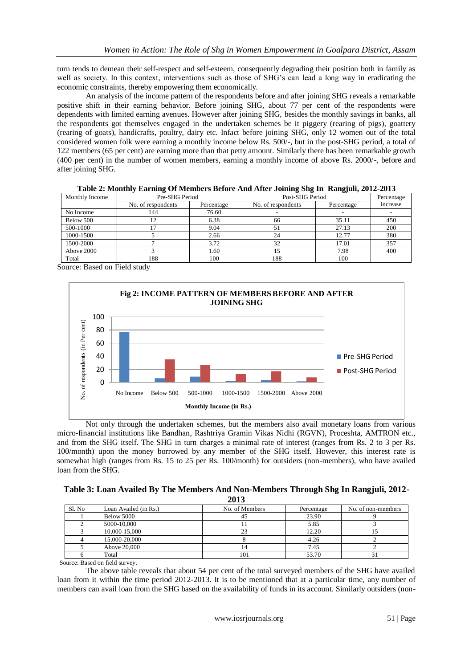turn tends to demean their self-respect and self-esteem, consequently degrading their position both in family as well as society. In this context, interventions such as those of SHG"s can lead a long way in eradicating the economic constraints, thereby empowering them economically.

An analysis of the income pattern of the respondents before and after joining SHG reveals a remarkable positive shift in their earning behavior. Before joining SHG, about 77 per cent of the respondents were dependents with limited earning avenues. However after joining SHG, besides the monthly savings in banks, all the respondents got themselves engaged in the undertaken schemes be it piggery (rearing of pigs), goattery (rearing of goats), handicrafts, poultry, dairy etc. Infact before joining SHG, only 12 women out of the total considered women folk were earning a monthly income below Rs. 500/-, but in the post-SHG period, a total of 122 members (65 per cent) are earning more than that petty amount. Similarly there has been remarkable growth (400 per cent) in the number of women members, earning a monthly income of above Rs. 2000/-, before and after joining SHG.

| Table 2. Moltany Barning Of Members Derore And Arter Johnnig Dig In Rangfull, 2012-2013 |                    |            |                    |            |          |  |  |  |
|-----------------------------------------------------------------------------------------|--------------------|------------|--------------------|------------|----------|--|--|--|
| Monthly Income                                                                          | Pre-SHG Period     |            | Post-SHG Period    | Percentage |          |  |  |  |
|                                                                                         | No. of respondents | Percentage | No. of respondents | Percentage | increase |  |  |  |
| No Income                                                                               | 144                | 76.60      |                    |            |          |  |  |  |
| Below 500                                                                               |                    | 6.38       | 66                 | 35.11      | 450      |  |  |  |
| 500-1000                                                                                |                    | 9.04       | 51                 | 27.13      | 200      |  |  |  |
| 1000-1500                                                                               |                    | 2.66       | 24                 | 12.77      | 380      |  |  |  |
| 1500-2000                                                                               |                    | 3.72       | 32                 | 17.01      | 357      |  |  |  |
| Above 2000                                                                              |                    | 1.60       | 15                 | 7.98       | 400      |  |  |  |
| Total                                                                                   | 188                | 100        | 188                | 100        |          |  |  |  |

**Table 2: Monthly Earning Of Members Before And After Joining Shg In Rangjuli, 2012-2013**

Source: Based on Field study



Not only through the undertaken schemes, but the members also avail monetary loans from various micro-financial institutions like Bandhan, Rashtriya Gramin Vikas Nidhi (RGVN), Proceshta, AMTRON etc., and from the SHG itself. The SHG in turn charges a minimal rate of interest (ranges from Rs. 2 to 3 per Rs. 100/month) upon the money borrowed by any member of the SHG itself. However, this interest rate is somewhat high (ranges from Rs. 15 to 25 per Rs. 100/month) for outsiders (non-members), who have availed loan from the SHG.

| Table 3: Loan Availed By The Members And Non-Members Through Shg In Rangjuli, 2012- |  |  |  |
|-------------------------------------------------------------------------------------|--|--|--|
|                                                                                     |  |  |  |

| Sl. No | Loan Availed (in Rs.) | No. of Members | Percentage | No. of non-members |
|--------|-----------------------|----------------|------------|--------------------|
|        | Below 5000            |                | 23.90      |                    |
|        | 5000-10.000           |                | 5.85       |                    |
|        | 10,000-15,000         | دے             | 12.20      |                    |
|        | 15,000-20,000         |                | 4.26       |                    |
|        | Above 20,000          |                | 7.45       |                    |
|        | Total                 | 101            | 53.70      |                    |

Source: Based on field survey.

The above table reveals that about 54 per cent of the total surveyed members of the SHG have availed loan from it within the time period 2012-2013. It is to be mentioned that at a particular time, any number of members can avail loan from the SHG based on the availability of funds in its account. Similarly outsiders (non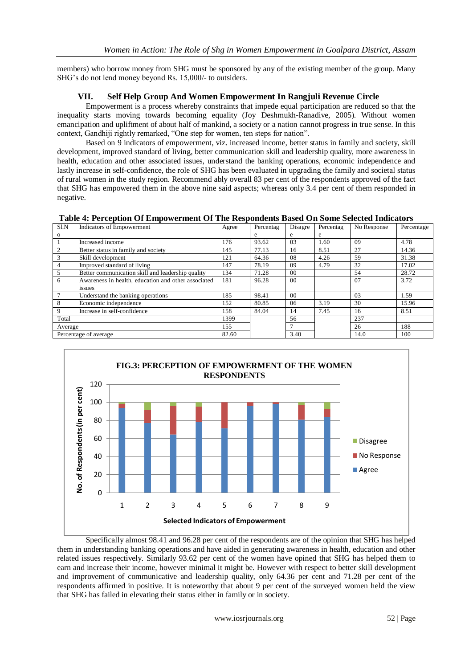members) who borrow money from SHG must be sponsored by any of the existing member of the group. Many SHG"s do not lend money beyond Rs. 15,000/- to outsiders.

# **VII. Self Help Group And Women Empowerment In Rangjuli Revenue Circle**

Empowerment is a process whereby constraints that impede equal participation are reduced so that the inequality starts moving towards becoming equality (Joy Deshmukh-Ranadive, 2005). Without women emancipation and upliftment of about half of mankind, a society or a nation cannot progress in true sense. In this context, Gandhiji rightly remarked, "One step for women, ten steps for nation".

Based on 9 indicators of empowerment, viz. increased income, better status in family and society, skill development, improved standard of living, better communication skill and leadership quality, more awareness in health, education and other associated issues, understand the banking operations, economic independence and lastly increase in self-confidence, the role of SHG has been evaluated in upgrading the family and societal status of rural women in the study region. Recommend ably overall 83 per cent of the respondents approved of the fact that SHG has empowered them in the above nine said aspects; whereas only 3.4 per cent of them responded in negative.

**Table 4: Perception Of Empowerment Of The Respondents Based On Some Selected Indicators**

| Sl.N                  | Indicators of Empowerment                           | Agree | Percentag | Disagre        | Percentag | No Response | Percentage |
|-----------------------|-----------------------------------------------------|-------|-----------|----------------|-----------|-------------|------------|
| $\mathbf{o}$          |                                                     |       | e         | e              | e         |             |            |
|                       | Increased income                                    | 176   | 93.62     | 03             | 1.60      | 09          | 4.78       |
|                       | Better status in family and society                 | 145   | 77.13     | 16             | 8.51      | 27          | 14.36      |
| 3                     | Skill development                                   | 121   | 64.36     | 08             | 4.26      | 59          | 31.38      |
| 4                     | Improved standard of living                         | 147   | 78.19     | 09             | 4.79      | 32          | 17.02      |
| 5                     | Better communication skill and leadership quality   | 134   | 71.28     | 0 <sup>0</sup> |           | 54          | 28.72      |
| 6                     | Awareness in health, education and other associated | 181   | 96.28     | 0 <sup>0</sup> |           | 07          | 3.72       |
|                       | issues                                              |       |           |                |           |             |            |
|                       | Understand the banking operations                   | 185   | 98.41     | 0 <sup>0</sup> |           | 03          | 1.59       |
| 8                     | Economic independence                               | 152   | 80.85     | 06             | 3.19      | 30          | 15.96      |
| 9                     | Increase in self-confidence                         | 158   | 84.04     | 14             | 7.45      | 16          | 8.51       |
| Total                 |                                                     | 1399  |           | 56             |           | 237         |            |
| Average               |                                                     | 155   |           |                |           | 26          | 188        |
| Percentage of average |                                                     | 82.60 |           | 3.40           |           | 14.0        | 100        |



Specifically almost 98.41 and 96.28 per cent of the respondents are of the opinion that SHG has helped them in understanding banking operations and have aided in generating awareness in health, education and other related issues respectively. Similarly 93.62 per cent of the women have opined that SHG has helped them to earn and increase their income, however minimal it might be. However with respect to better skill development and improvement of communicative and leadership quality, only 64.36 per cent and 71.28 per cent of the respondents affirmed in positive. It is noteworthy that about 9 per cent of the surveyed women held the view that SHG has failed in elevating their status either in family or in society.